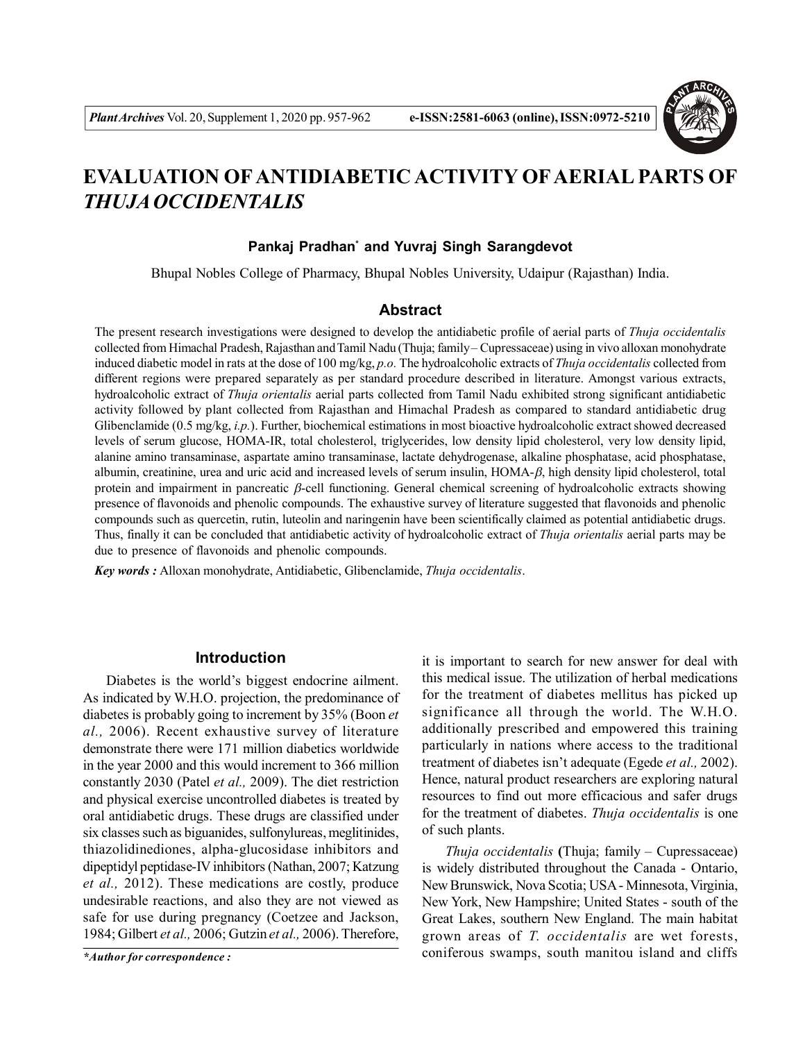

# **EVALUATION OFANTIDIABETIC ACTIVITY OFAERIAL PARTS OF** *THUJA OCCIDENTALIS*

# **Pankaj Pradhan\* and Yuvraj Singh Sarangdevot**

Bhupal Nobles College of Pharmacy, Bhupal Nobles University, Udaipur (Rajasthan) India.

# **Abstract**

The present research investigations were designed to develop the antidiabetic profile of aerial parts of *Thuja occidentalis* collected from Himachal Pradesh, Rajasthan and Tamil Nadu (Thuja; family – Cupressaceae) using in vivo alloxan monohydrate induced diabetic model in rats at the dose of 100 mg/kg, *p.o.* The hydroalcoholic extracts of *Thuja occidentalis* collected from different regions were prepared separately as per standard procedure described in literature. Amongst various extracts, hydroalcoholic extract of *Thuja orientalis* aerial parts collected from Tamil Nadu exhibited strong significant antidiabetic activity followed by plant collected from Rajasthan and Himachal Pradesh as compared to standard antidiabetic drug Glibenclamide (0.5 mg/kg, *i.p.*). Further, biochemical estimations in most bioactive hydroalcoholic extract showed decreased levels of serum glucose, HOMA-IR, total cholesterol, triglycerides, low density lipid cholesterol, very low density lipid, alanine amino transaminase, aspartate amino transaminase, lactate dehydrogenase, alkaline phosphatase, acid phosphatase, albumin, creatinine, urea and uric acid and increased levels of serum insulin,  $HOMA-\beta$ , high density lipid cholesterol, total protein and impairment in pancreatic  $\beta$ -cell functioning. General chemical screening of hydroalcoholic extracts showing presence of flavonoids and phenolic compounds. The exhaustive survey of literature suggested that flavonoids and phenolic compounds such as quercetin, rutin, luteolin and naringenin have been scientifically claimed as potential antidiabetic drugs. Thus, finally it can be concluded that antidiabetic activity of hydroalcoholic extract of *Thuja orientalis* aerial parts may be due to presence of flavonoids and phenolic compounds.

*Key words :* Alloxan monohydrate, Antidiabetic, Glibenclamide, *Thuja occidentalis*.

# **Introduction**

Diabetes is the world's biggest endocrine ailment. As indicated by W.H.O. projection, the predominance of diabetes is probably going to increment by 35% (Boon *et al.,* 2006). Recent exhaustive survey of literature demonstrate there were 171 million diabetics worldwide in the year 2000 and this would increment to 366 million constantly 2030 (Patel *et al.,* 2009). The diet restriction and physical exercise uncontrolled diabetes is treated by oral antidiabetic drugs. These drugs are classified under six classes such as biguanides, sulfonylureas, meglitinides, thiazolidinediones, alpha-glucosidase inhibitors and dipeptidyl peptidase-IV inhibitors (Nathan, 2007; Katzung *et al.,* 2012). These medications are costly, produce undesirable reactions, and also they are not viewed as safe for use during pregnancy (Coetzee and Jackson, 1984; Gilbert *et al.,* 2006; Gutzin *et al.,* 2006). Therefore,

it is important to search for new answer for deal with this medical issue. The utilization of herbal medications for the treatment of diabetes mellitus has picked up significance all through the world. The W.H.O. additionally prescribed and empowered this training particularly in nations where access to the traditional treatment of diabetes isn't adequate (Egede *et al.,* 2002). Hence, natural product researchers are exploring natural resources to find out more efficacious and safer drugs for the treatment of diabetes. *Thuja occidentalis* is one of such plants.

*Thuja occidentalis* **(**Thuja; family – Cupressaceae) is widely distributed throughout the Canada - Ontario, New Brunswick, Nova Scotia; USA - Minnesota, Virginia, New York, New Hampshire; United States - south of the Great Lakes, southern New England. The main habitat grown areas of *T. occidentalis* are wet forests, *\*Author for correspondence :* coniferous swamps, south manitou island and cliffs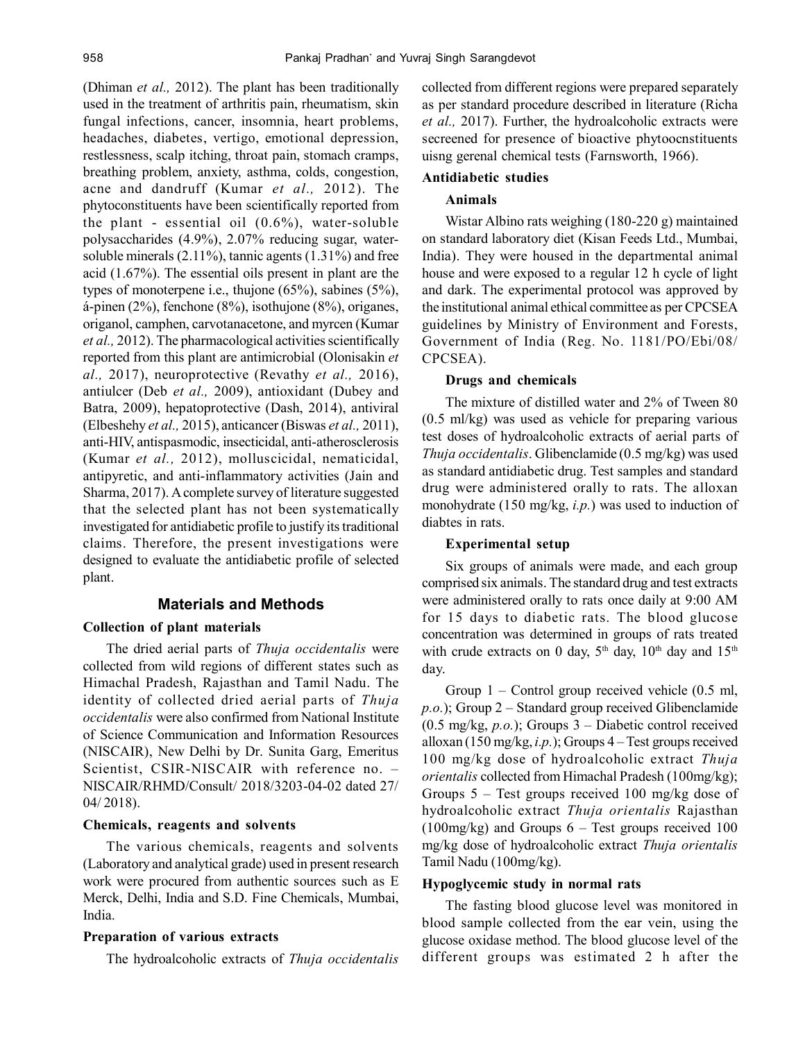(Dhiman *et al.,* 2012). The plant has been traditionally used in the treatment of arthritis pain, rheumatism, skin fungal infections, cancer, insomnia, heart problems, headaches, diabetes, vertigo, emotional depression, restlessness, scalp itching, throat pain, stomach cramps, breathing problem, anxiety, asthma, colds, congestion, acne and dandruff (Kumar *et al.,* 2012). The phytoconstituents have been scientifically reported from the plant - essential oil (0.6%), water-soluble polysaccharides (4.9%), 2.07% reducing sugar, watersoluble minerals  $(2.11\%)$ , tannic agents  $(1.31\%)$  and free acid (1.67%). The essential oils present in plant are the types of monoterpene i.e., thujone (65%), sabines (5%), á-pinen (2%), fenchone (8%), isothujone (8%), origanes, origanol, camphen, carvotanacetone, and myrcen (Kumar *et al.,* 2012). The pharmacological activities scientifically reported from this plant are antimicrobial (Olonisakin *et al.,* 2017), neuroprotective (Revathy *et al.,* 2016), antiulcer (Deb *et al.,* 2009), antioxidant (Dubey and Batra, 2009), hepatoprotective (Dash, 2014), antiviral (Elbeshehy *et al.,* 2015), anticancer (Biswas *et al.,* 2011), anti-HIV, antispasmodic, insecticidal, anti-atherosclerosis (Kumar *et al.,* 2012), molluscicidal, nematicidal, antipyretic, and anti-inflammatory activities (Jain and Sharma, 2017). A complete survey of literature suggested that the selected plant has not been systematically investigated for antidiabetic profile to justify its traditional claims. Therefore, the present investigations were designed to evaluate the antidiabetic profile of selected plant.

# **Materials and Methods**

# **Collection of plant materials**

The dried aerial parts of *Thuja occidentalis* were collected from wild regions of different states such as Himachal Pradesh, Rajasthan and Tamil Nadu. The identity of collected dried aerial parts of *Thuja occidentalis* were also confirmed from National Institute of Science Communication and Information Resources (NISCAIR), New Delhi by Dr. Sunita Garg, Emeritus Scientist, CSIR-NISCAIR with reference no. – NISCAIR/RHMD/Consult/ 2018/3203-04-02 dated 27/ 04/ 2018).

#### **Chemicals, reagents and solvents**

The various chemicals, reagents and solvents (Laboratory and analytical grade) used in present research work were procured from authentic sources such as E Merck, Delhi, India and S.D. Fine Chemicals, Mumbai, India.

#### **Preparation of various extracts**

The hydroalcoholic extracts of *Thuja occidentalis*

collected from different regions were prepared separately as per standard procedure described in literature (Richa *et al.,* 2017). Further, the hydroalcoholic extracts were secreened for presence of bioactive phytoocnstituents uisng gerenal chemical tests (Farnsworth, 1966).

#### **Antidiabetic studies**

#### **Animals**

Wistar Albino rats weighing (180-220 g) maintained on standard laboratory diet (Kisan Feeds Ltd., Mumbai, India). They were housed in the departmental animal house and were exposed to a regular 12 h cycle of light and dark. The experimental protocol was approved by the institutional animal ethical committee as per CPCSEA guidelines by Ministry of Environment and Forests, Government of India (Reg. No. 1181/PO/Ebi/08/ CPCSEA).

#### **Drugs and chemicals**

The mixture of distilled water and 2% of Tween 80 (0.5 ml/kg) was used as vehicle for preparing various test doses of hydroalcoholic extracts of aerial parts of *Thuja occidentalis*. Glibenclamide (0.5 mg/kg) was used as standard antidiabetic drug. Test samples and standard drug were administered orally to rats. The alloxan monohydrate (150 mg/kg, *i.p.*) was used to induction of diabtes in rats.

#### **Experimental setup**

Six groups of animals were made, and each group comprised six animals. The standard drug and test extracts were administered orally to rats once daily at 9:00 AM for 15 days to diabetic rats. The blood glucose concentration was determined in groups of rats treated with crude extracts on 0 day,  $5<sup>th</sup>$  day,  $10<sup>th</sup>$  day and  $15<sup>th</sup>$ day.

Group  $1$  – Control group received vehicle  $(0.5 \text{ ml},$ *p.o.*); Group 2 – Standard group received Glibenclamide (0.5 mg/kg, *p.o.*); Groups 3 – Diabetic control received alloxan (150 mg/kg, *i.p.*); Groups 4 – Test groups received 100 mg/kg dose of hydroalcoholic extract *Thuja orientalis* collected from Himachal Pradesh (100mg/kg); Groups 5 – Test groups received 100 mg/kg dose of hydroalcoholic extract *Thuja orientalis* Rajasthan  $(100mg/kg)$  and Groups 6 – Test groups received 100 mg/kg dose of hydroalcoholic extract *Thuja orientalis* Tamil Nadu (100mg/kg).

#### **Hypoglycemic study in normal rats**

The fasting blood glucose level was monitored in blood sample collected from the ear vein, using the glucose oxidase method. The blood glucose level of the different groups was estimated 2 h after the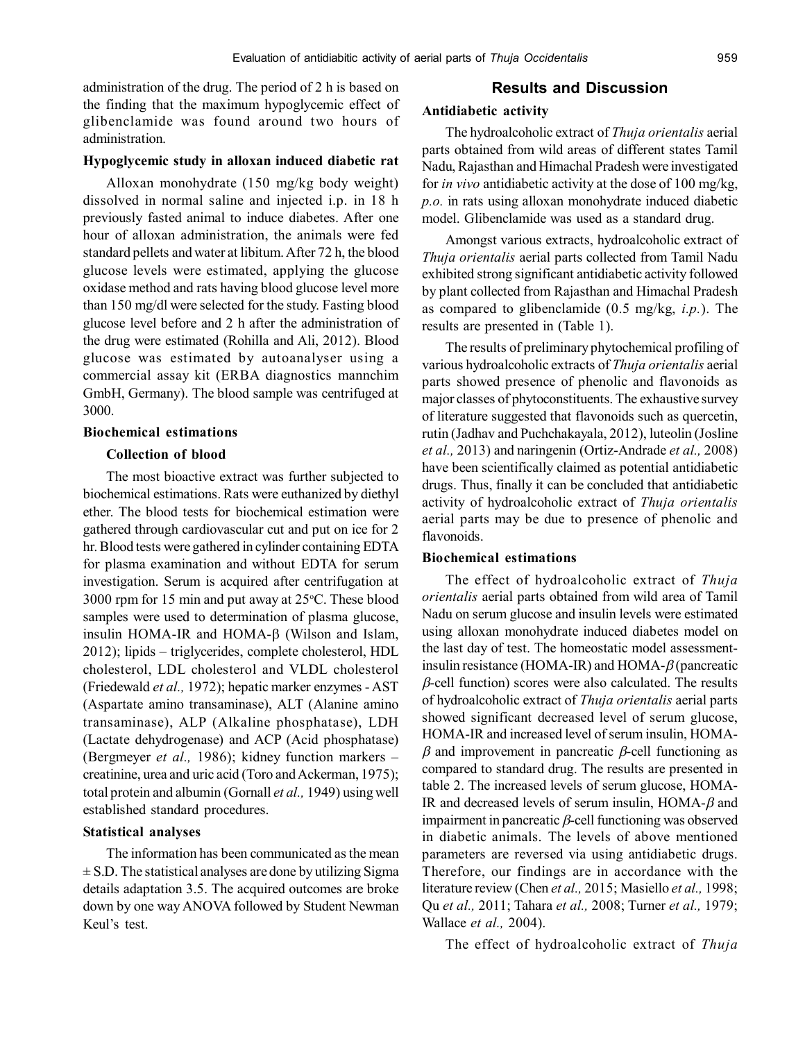administration of the drug. The period of 2 h is based on the finding that the maximum hypoglycemic effect of glibenclamide was found around two hours of administration.

### **Hypoglycemic study in alloxan induced diabetic rat**

Alloxan monohydrate (150 mg/kg body weight) dissolved in normal saline and injected i.p. in 18 h previously fasted animal to induce diabetes. After one hour of alloxan administration, the animals were fed standard pellets and water at libitum. After 72 h, the blood glucose levels were estimated, applying the glucose oxidase method and rats having blood glucose level more than 150 mg/dl were selected for the study. Fasting blood glucose level before and 2 h after the administration of the drug were estimated (Rohilla and Ali, 2012). Blood glucose was estimated by autoanalyser using a commercial assay kit (ERBA diagnostics mannchim GmbH, Germany). The blood sample was centrifuged at 3000.

# **Biochemical estimations**

#### **Collection of blood**

The most bioactive extract was further subjected to biochemical estimations. Rats were euthanized by diethyl ether. The blood tests for biochemical estimation were gathered through cardiovascular cut and put on ice for 2 hr. Blood tests were gathered in cylinder containing EDTA for plasma examination and without EDTA for serum investigation. Serum is acquired after centrifugation at 3000 rpm for 15 min and put away at  $25^{\circ}$ C. These blood samples were used to determination of plasma glucose, insulin HOMA-IR and HOMA- $\beta$  (Wilson and Islam, 2012); lipids – triglycerides, complete cholesterol, HDL cholesterol, LDL cholesterol and VLDL cholesterol (Friedewald *et al.,* 1972); hepatic marker enzymes - AST (Aspartate amino transaminase), ALT (Alanine amino transaminase), ALP (Alkaline phosphatase), LDH (Lactate dehydrogenase) and ACP (Acid phosphatase) (Bergmeyer *et al.,* 1986); kidney function markers – creatinine, urea and uric acid (Toro and Ackerman, 1975); total protein and albumin (Gornall *et al.,* 1949) using well established standard procedures.

### **Statistical analyses**

The information has been communicated as the mean  $\pm$  S.D. The statistical analyses are done by utilizing Sigma details adaptation 3.5. The acquired outcomes are broke down by one way ANOVA followed by Student Newman Keul's test.

# **Results and Discussion**

#### **Antidiabetic activity**

The hydroalcoholic extract of *Thuja orientalis* aerial parts obtained from wild areas of different states Tamil Nadu, Rajasthan and Himachal Pradesh were investigated for *in vivo* antidiabetic activity at the dose of 100 mg/kg, *p.o.* in rats using alloxan monohydrate induced diabetic model. Glibenclamide was used as a standard drug.

Amongst various extracts, hydroalcoholic extract of *Thuja orientalis* aerial parts collected from Tamil Nadu exhibited strong significant antidiabetic activity followed by plant collected from Rajasthan and Himachal Pradesh as compared to glibenclamide (0.5 mg/kg, *i.p.*). The results are presented in (Table 1).

The results of preliminary phytochemical profiling of various hydroalcoholic extracts of *Thuja orientalis* aerial parts showed presence of phenolic and flavonoids as major classes of phytoconstituents. The exhaustive survey of literature suggested that flavonoids such as quercetin, rutin (Jadhav and Puchchakayala, 2012), luteolin (Josline *et al.,* 2013) and naringenin (Ortiz-Andrade *et al.,* 2008) have been scientifically claimed as potential antidiabetic drugs. Thus, finally it can be concluded that antidiabetic activity of hydroalcoholic extract of *Thuja orientalis* aerial parts may be due to presence of phenolic and flavonoids.

#### **Biochemical estimations**

The effect of hydroalcoholic extract of *Thuja orientalis* aerial parts obtained from wild area of Tamil Nadu on serum glucose and insulin levels were estimated using alloxan monohydrate induced diabetes model on the last day of test. The homeostatic model assessmentinsulin resistance (HOMA-IR) and HOMA- $\beta$  (pancreatic  $\beta$ -cell function) scores were also calculated. The results of hydroalcoholic extract of *Thuja orientalis* aerial parts showed significant decreased level of serum glucose, HOMA-IR and increased level of serum insulin, HOMA-  $\beta$  and improvement in pancreatic  $\beta$ -cell functioning as compared to standard drug. The results are presented in table 2. The increased levels of serum glucose, HOMA-IR and decreased levels of serum insulin,  $HOMA-\beta$  and impairment in pancreatic  $\beta$ -cell functioning was observed in diabetic animals. The levels of above mentioned parameters are reversed via using antidiabetic drugs. Therefore, our findings are in accordance with the literature review (Chen *et al.,* 2015; Masiello *et al.,* 1998; Qu *et al.,* 2011; Tahara *et al.,* 2008; Turner *et al.,* 1979; Wallace *et al.,* 2004).

The effect of hydroalcoholic extract of *Thuja*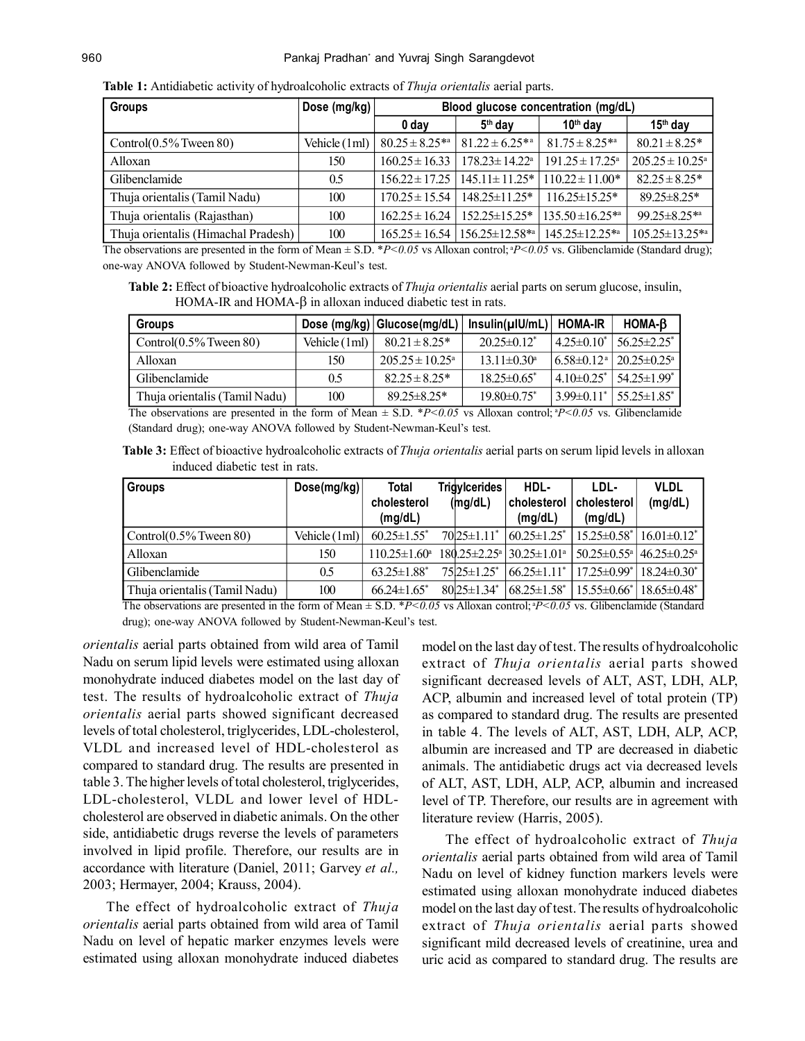| <b>Groups</b>                       | Dose (mg/kg) $ $ | Blood glucose concentration (mg/dL) |                                                       |                               |                                |  |  |
|-------------------------------------|------------------|-------------------------------------|-------------------------------------------------------|-------------------------------|--------------------------------|--|--|
|                                     |                  | 0 day                               | $5th$ day                                             | $10th$ day                    | $15th$ day                     |  |  |
| Control $(0.5\%$ Tween 80)          | Vehicle (1ml)    | $80.25 \pm 8.25^{*a}$               | $81.22 \pm 6.25^{*a}$                                 | $81.75 \pm 8.25^{*a}$         | $80.21 \pm 8.25*$              |  |  |
| Alloxan                             | 150              | $160.25 \pm 16.33$                  | $178.23 \pm 14.22^{\text{a}}$                         | $191.25 \pm 17.25^{\text{a}}$ | $205.25 \pm 10.25^{\text{a}}$  |  |  |
| Glibenclamide                       | 0.5              | $156.22 \pm 17.25$                  | $145.11 \pm 11.25$ *                                  | $11022 \pm 1100*$             | $82.25 \pm 8.25^*$             |  |  |
| Thuja orientalis (Tamil Nadu)       | 100              | $170.25 \pm 15.54$                  | $148.25 \pm 11.25$ *                                  | $116.25 \pm 15.25$ *          | $89.25 \pm 8.25$ *             |  |  |
| Thuja orientalis (Rajasthan)        | 100              | $162.25 \pm 16.24$                  | $152.25 \pm 15.25^*$                                  | $135.50 \pm 16.25^{*a}$       | $99.25 \pm 8.25$ <sup>*a</sup> |  |  |
| Thuja orientalis (Himachal Pradesh) | 100              |                                     | $165.25 \pm 16.54$   156.25 $\pm$ 12.58 <sup>*a</sup> | $145.25 \pm 12.25$ *a         | $105.25 \pm 13.25$ *a          |  |  |

**Table 1:** Antidiabetic activity of hydroalcoholic extracts of *Thuja orientalis* aerial parts.

The observations are presented in the form of Mean  $\pm$  S.D. \**P<0.05* vs Alloxan control; <sup>a</sup>*P*<*0.05* vs. Glibenclamide (Standard drug); one-way ANOVA followed by Student-Newman-Keul's test.

**Table 2:** Effect of bioactive hydroalcoholic extracts of *Thuja orientalis* aerial parts on serum glucose, insulin, HOMA-IR and HOMA- $\beta$  in alloxan induced diabetic test in rats.

| Groups                                                                                                              |               | Dose (mg/kg)   Glucose(mg/dL) | $Insulin(µ U/mL)$ HOMA-IR     |                   | HOMA-B                                                 |  |  |
|---------------------------------------------------------------------------------------------------------------------|---------------|-------------------------------|-------------------------------|-------------------|--------------------------------------------------------|--|--|
| Control $(0.5\%$ Tween 80)                                                                                          | Vehicle (1ml) | $80.21 \pm 8.25^*$            | $20.25 \pm 0.12^*$            | $4.25 \pm 0.10^*$ | $56.25 \pm 2.25^*$                                     |  |  |
| Alloxan                                                                                                             | 150           | $205.25 \pm 10.25^{\circ}$    | $13.11 \pm 0.30^a$            |                   | $6.58\pm0.12^{\text{a}}$ 20.25 $\pm$ 0.25 <sup>a</sup> |  |  |
| Glibenclamide                                                                                                       | 0.5           | $82.25 \pm 8.25*$             | $18.25 \pm 0.65^*$            |                   | $4.10\pm0.25$ *   54.25 $\pm1.99$ *                    |  |  |
| Thuja orientalis (Tamil Nadu)                                                                                       | 100           | $89.25 \pm 8.25$ *            | $19.80 \pm 0.75$ <sup>*</sup> |                   | $3.99\pm0.11$ * 55.25 $\pm1.85$ <sup>*</sup>           |  |  |
| The observations are presented in the form of Mean $\pm$ S.D. *P<0.05 vs Alloxan control; *P<0.05 vs. Glibenclamide |               |                               |                               |                   |                                                        |  |  |

(Standard drug); one-way ANOVA followed by Student-Newman-Keul's test.

**Table 3:** Effect of bioactive hydroalcoholic extracts of *Thuja orientalis* aerial parts on serum lipid levels in alloxan induced diabetic test in rats.

| <b>Groups</b>                 | Dose(mg/kg)   | Total                  | <b>Trigylcerides</b>           | HDL-                                                           | LDL-                                                     | <b>VLDL</b>                   |
|-------------------------------|---------------|------------------------|--------------------------------|----------------------------------------------------------------|----------------------------------------------------------|-------------------------------|
|                               |               | cholesterol<br>(mg/dL) | (mg/dL)                        | cholesterol<br>(mq/dL)                                         | cholesterol<br>(mg/dL)                                   | (mg/dL)                       |
| Control $(0.5\%$ Tween 80)    | Vehicle (1ml) | $60.25 \pm 1.55^*$     | $70 25 \pm 1.11$ <sup>*</sup>  | $60.25 \pm 1.25$ <sup>*</sup>                                  | $15.25 \pm 0.58$ <sup>*</sup>                            | $16.01 \pm 0.12$ <sup>*</sup> |
| Alloxan                       | 150           | $110.25 \pm 1.60^a$    |                                | $180.25 \pm 2.25$ <sup>a</sup>   30.25 $\pm 1.01$ <sup>a</sup> | $150.25 \pm 0.55^{\text{a}}$ 46.25 $\pm 0.25^{\text{a}}$ |                               |
| Glibenclamide                 | 0.5           | $63.25 \pm 1.88^*$     | $75 25\pm1.25^*$               | $66.25 \pm 1.11^*$                                             | $17.25 \pm 0.99^*$                                       | $18.24\pm0.30^*$              |
| Thuja orientalis (Tamil Nadu) | 100           | $66.24 \pm 1.65^*$     | $80\,25 \pm 1.34$ <sup>*</sup> | $68.25 \pm 1.58^*$                                             | $15.55 \pm 0.66^*$                                       | $18.65\pm0.48^*$              |

The observations are presented in the form of Mean  $\pm$  S.D.  $*P<0.05$  vs Alloxan control;  ${}^{a}P<0.05$  vs. Glibenclamide (Standard drug); one-way ANOVA followed by Student-Newman-Keul's test.

*orientalis* aerial parts obtained from wild area of Tamil Nadu on serum lipid levels were estimated using alloxan monohydrate induced diabetes model on the last day of test. The results of hydroalcoholic extract of *Thuja orientalis* aerial parts showed significant decreased levels of total cholesterol, triglycerides, LDL-cholesterol, VLDL and increased level of HDL-cholesterol as compared to standard drug. The results are presented in table 3. The higher levels of total cholesterol, triglycerides, LDL-cholesterol, VLDL and lower level of HDLcholesterol are observed in diabetic animals. On the other side, antidiabetic drugs reverse the levels of parameters involved in lipid profile. Therefore, our results are in accordance with literature (Daniel, 2011; Garvey *et al.,* 2003; Hermayer, 2004; Krauss, 2004).

The effect of hydroalcoholic extract of *Thuja orientalis* aerial parts obtained from wild area of Tamil Nadu on level of hepatic marker enzymes levels were estimated using alloxan monohydrate induced diabetes

model on the last day of test. The results of hydroalcoholic extract of *Thuja orientalis* aerial parts showed significant decreased levels of ALT, AST, LDH, ALP, ACP, albumin and increased level of total protein (TP) as compared to standard drug. The results are presented in table 4. The levels of ALT, AST, LDH, ALP, ACP, albumin are increased and TP are decreased in diabetic animals. The antidiabetic drugs act via decreased levels of ALT, AST, LDH, ALP, ACP, albumin and increased level of TP. Therefore, our results are in agreement with literature review (Harris, 2005).

The effect of hydroalcoholic extract of *Thuja orientalis* aerial parts obtained from wild area of Tamil Nadu on level of kidney function markers levels were estimated using alloxan monohydrate induced diabetes model on the last day of test. The results of hydroalcoholic extract of *Thuja orientalis* aerial parts showed significant mild decreased levels of creatinine, urea and uric acid as compared to standard drug. The results are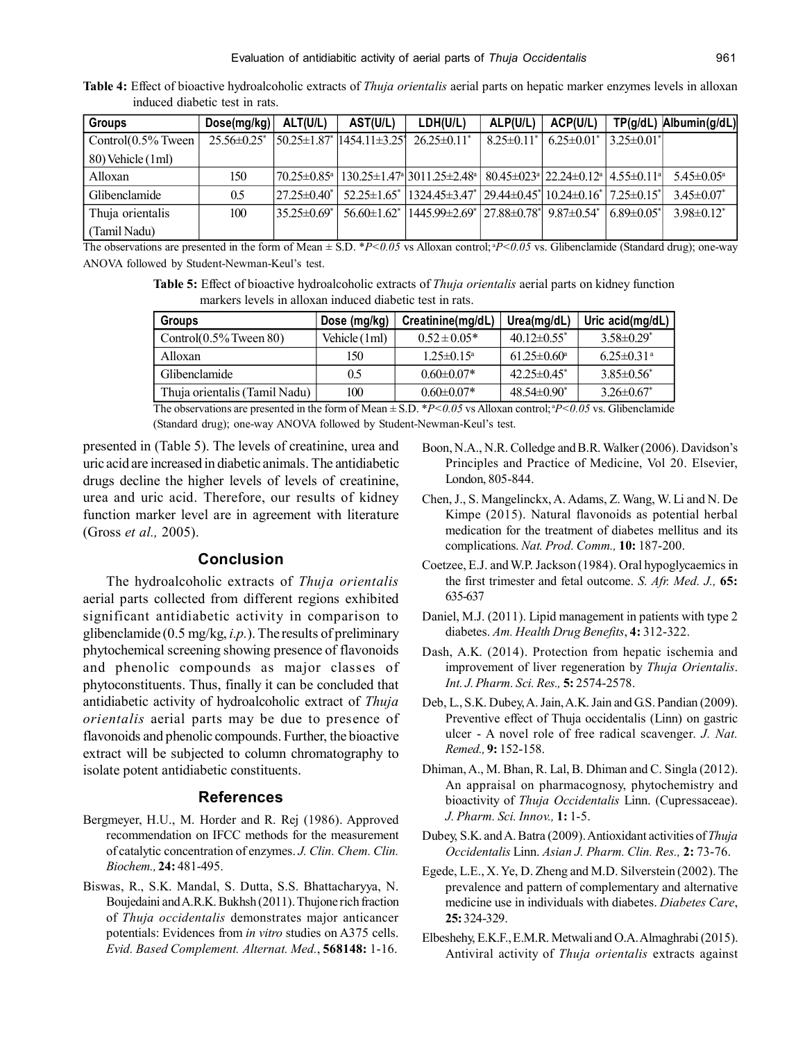| <b>Groups</b>          | Dose(mg/kg)                   | ALT(U/L)            | AST(U/L)                             | LDH(U/L)                                                                                                                                                            | ALP(U/L)          | ACP(U/L)          |                   | TP(g/dL) Albumin(g/dL)       |
|------------------------|-------------------------------|---------------------|--------------------------------------|---------------------------------------------------------------------------------------------------------------------------------------------------------------------|-------------------|-------------------|-------------------|------------------------------|
| Control $(0.5\%$ Tween | $25.56 \pm 0.25$ <sup>*</sup> |                     | $150.25 \pm 1.87$ $1454.11 \pm 3.25$ | $26.25 \pm 0.11^*$                                                                                                                                                  | $8.25 \pm 0.11^*$ | $6.25 \pm 0.01^*$ | $3.25 \pm 0.01^*$ |                              |
| 80) Vehicle (1ml)      |                               |                     |                                      |                                                                                                                                                                     |                   |                   |                   |                              |
| Alloxan                | 150                           |                     |                                      | $(70.25 \pm 0.85^{\circ})$ $(130.25 \pm 1.47^{\circ})$ $(3011.25 \pm 2.48^{\circ})$ $(80.45 \pm 0.23^{\circ})$ $(22.24 \pm 0.12^{\circ})$ $(4.55 \pm 0.11^{\circ})$ |                   |                   |                   | $5.45 \pm 0.05^{\text{a}}$   |
| Glibenclamide          | 0.5                           | $127.25 \pm 0.40^*$ |                                      | $52.25\pm1.65^*$   1324.45 $\pm$ 3.47 <sup>*</sup>   29.44 $\pm$ 0.45 <sup>*</sup>   10.24 $\pm$ 0.16 <sup>*</sup>   7.25 $\pm$ 0.15 <sup>*</sup>                   |                   |                   |                   | $3.45 \pm 0.07^*$            |
| Thuja orientalis       | 100                           | $35.25 \pm 0.69^*$  | $56.60 \pm 1.62^*$                   | $1445.99\pm2.69$ <sup>*</sup> 27.88 $\pm$ 0.78 <sup>*</sup> 9.87 $\pm$ 0.54 <sup>*</sup>                                                                            |                   |                   | $689\pm0.05^*$    | $3.98 \pm 0.12$ <sup>*</sup> |
| (Tamil Nadu)           |                               |                     |                                      |                                                                                                                                                                     |                   |                   |                   |                              |

**Table 4:** Effect of bioactive hydroalcoholic extracts of *Thuja orientalis* aerial parts on hepatic marker enzymes levels in alloxan induced diabetic test in rats.

The observations are presented in the form of Mean  $\pm$  S.D. \**P*<0.05 vs Alloxan control; \**P*<0.05 vs. Glibenclamide (Standard drug); one-way ANOVA followed by Student-Newman-Keul's test.

**Table 5:** Effect of bioactive hydroalcoholic extracts of *Thuja orientalis* aerial parts on kidney function markers levels in alloxan induced diabetic test in rats.

| <b>Groups</b>                 | Dose (mg/kg)  | Creatinine(mg/dL)          | Urea(mg/dL)              | Uric acid(mg/dL)             |
|-------------------------------|---------------|----------------------------|--------------------------|------------------------------|
| Control $(0.5\%$ Tween 80)    | Vehicle (1ml) | $0.52 \pm 0.05*$           | $40.12\pm0.55^*$         | $3.58\pm0.29^*$              |
| Alloxan                       | 150           | $1.25 \pm 0.15^{\text{a}}$ | $61.25 \pm 0.60^{\circ}$ | $6.25 \pm 0.31$ <sup>a</sup> |
| Glibenclamide                 | 0.5           | $0.60 \pm 0.07*$           | $42.25\pm0.45^*$         | $3.85 \pm 0.56^*$            |
| Thuja orientalis (Tamil Nadu) | 100           | $0.60 \pm 0.07*$           | $48.54\pm0.90^*$         | $3.26 \pm 0.67^*$            |

The observations are presented in the form of Mean  $\pm$  S.D.  $*P<0.05$  vs Alloxan control;  $P<0.05$  vs. Glibenclamide (Standard drug); one-way ANOVA followed by Student-Newman-Keul's test.

presented in (Table 5). The levels of creatinine, urea and uric acid are increased in diabetic animals. The antidiabetic drugs decline the higher levels of levels of creatinine, urea and uric acid. Therefore, our results of kidney function marker level are in agreement with literature (Gross *et al.,* 2005).

# **Conclusion**

The hydroalcoholic extracts of *Thuja orientalis* aerial parts collected from different regions exhibited significant antidiabetic activity in comparison to glibenclamide (0.5 mg/kg, *i.p.*). The results of preliminary phytochemical screening showing presence of flavonoids and phenolic compounds as major classes of phytoconstituents. Thus, finally it can be concluded that antidiabetic activity of hydroalcoholic extract of *Thuja orientalis* aerial parts may be due to presence of flavonoids and phenolic compounds. Further, the bioactive extract will be subjected to column chromatography to isolate potent antidiabetic constituents.

#### **References**

- Bergmeyer, H.U., M. Horder and R. Rej (1986). Approved recommendation on IFCC methods for the measurement of catalytic concentration of enzymes. *J. Clin. Chem. Clin. Biochem.,* **24:** 481-495.
- Biswas, R., S.K. Mandal, S. Dutta, S.S. Bhattacharyya, N. Boujedaini and A.R.K. Bukhsh (2011). Thujone rich fraction of *Thuja occidentalis* demonstrates major anticancer potentials: Evidences from *in vitro* studies on A375 cells. *Evid. Based Complement. Alternat. Med.*, **568148:** 1-16.
- Boon, N.A., N.R. Colledge and B.R. Walker (2006). Davidson's Principles and Practice of Medicine, Vol 20. Elsevier, London, 805-844.
- Chen, J., S. Mangelinckx, A. Adams, Z. Wang, W. Li and N. De Kimpe (2015). Natural flavonoids as potential herbal medication for the treatment of diabetes mellitus and its complications. *Nat. Prod. Comm.,* **10:** 187-200.
- Coetzee, E.J. and W.P. Jackson (1984). Oral hypoglycaemics in the first trimester and fetal outcome. *S. Afr. Med. J.,* **65:** 635-637
- Daniel, M.J. (2011). Lipid management in patients with type 2 diabetes. *Am. Health Drug Benefits*, **4:** 312-322.
- Dash, A.K. (2014). Protection from hepatic ischemia and improvement of liver regeneration by *Thuja Orientalis*. *Int. J. Pharm. Sci. Res.,* **5:** 2574-2578.
- Deb, L., S.K. Dubey, A. Jain, A.K. Jain and G.S. Pandian (2009). Preventive effect of Thuja occidentalis (Linn) on gastric ulcer - A novel role of free radical scavenger. *J. Nat. Remed.,* **9:** 152-158.
- Dhiman, A., M. Bhan, R. Lal, B. Dhiman and C. Singla (2012). An appraisal on pharmacognosy, phytochemistry and bioactivity of *Thuja Occidentalis* Linn. (Cupressaceae). *J. Pharm. Sci. Innov.,* **1:** 1-5.
- Dubey, S.K. and A. Batra (2009). Antioxidant activities of *Thuja Occidentalis* Linn. *Asian J. Pharm. Clin. Res.,* **2:** 73-76.
- Egede, L.E., X. Ye, D. Zheng and M.D. Silverstein (2002). The prevalence and pattern of complementary and alternative medicine use in individuals with diabetes. *Diabetes Care*, **25:** 324-329.
- Elbeshehy, E.K.F., E.M.R. Metwali and O.A. Almaghrabi (2015). Antiviral activity of *Thuja orientalis* extracts against